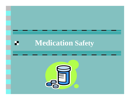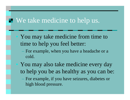#### **E** We take medicine to help us.

• You may take medicine from time to time to help you feel better:

 For example, when you have a headache or a cold.

 You may also take medicine every day to help you be as healthy as you can be:

 For example, if you have seizures, diabetes or high blood pressure.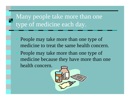# Many people take more than one type of medicine each day.

 People may take more than one type of medicine to treat the same health concern. People may take more than one type of medicine because they have more than one health concern.

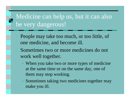## Medicine can help us, but it can also be very dangerous!

- People may take too much, or too little, of one medicine, and become ill.
- Sometimes two or more medicines do not work well together.
	- When you take two or more types of medicine at the same time or on the same day, one of them may stop working.
	- Sometimes taking two medicines together may make you ill.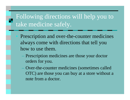## Following directions will help you to take medicine safely.

- Prescription and over-the-counter medicines always come with directions that tell you how to use them.
	- Prescription medicines are those your doctor orders for you.
	- Over-the-counter medicines (sometimes called OTC) are those you can buy at a store without a note from a doctor.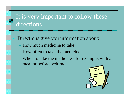# It is very important to follow these directions!

- Directions give you information about:
	- How much medicine to take
	- How often to take the medicine
	- When to take the medicine for example, with a meal or before bedtime

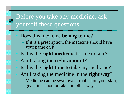## Before you take any medicine, ask yourself these questions:

- Does this medicine **belong to me**?
	- If it is a prescription, the medicine should have your name on it.
- Is this the **right medicine** for me to take? Am I taking the **right amount** ?

Is this the **right time** to take my medicine?

- Am I taking the medicine in the **right way** ?
	- Medicine can be swallowed, rubbed on your skin, given in a shot, or taken in other ways.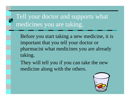# Tell your doctor and supports what medicines you are taking.

- Before you start taking a new medicine, it is important that you tell your doctor or pharmacist what medicines you are already taking.
- They will tell you if you can take the new medicine along with the others.

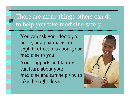## There are many things others can do to help you take medicine safely.

 You can ask your doctor, a nurse, or a pharmacist to explain directions about your medicine to you.

Your supports and family can learn about your medicine and can help you to take the right dose.

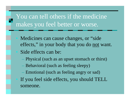### You can tell others if the medicine makes you feel better or worse.

- Medicines can cause changes, or "side" effects," in your body that you do not want. Side effects can be:
	- Physical (such as an upset stomach or thirst)
	- Behavioral (such as feeling sleepy)
- Emotional (such as feeling angry or sad) If you feel side effects, you should TELL someone.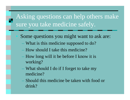## Asking questions can help others make sure you take medicine safely.

- Some questions you might want to ask are:
	- What is this medicine supposed to do?
	- How should I take this medicine?
	- How long will it be before I know it is working?
	- What should I do if I forget to take my medicine?
	- Should this medicine be taken with food or drink?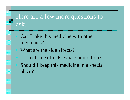#### Here are a few more questions to ask.

 Can I take this medicine with other medicines?What are the side effects? If I feel side effects, what should I do? Should I keep this medicine in a special place?